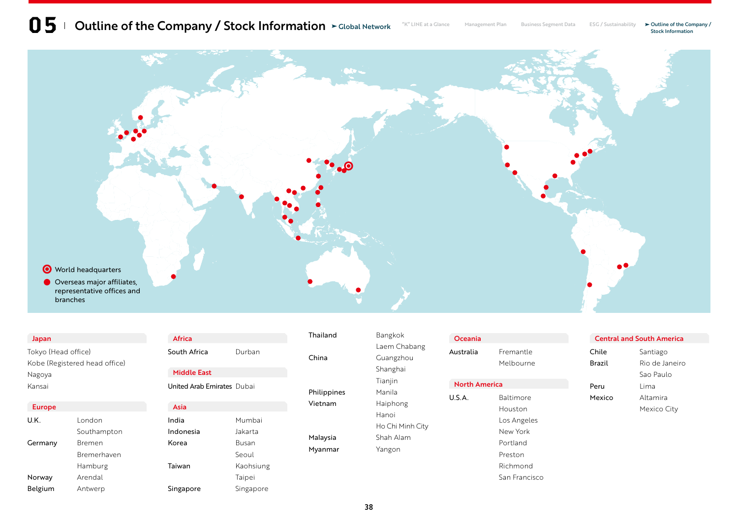

#### Japan

Tokyo (Head office) Kobe (Registered head office) Nagoya Kansai

#### Europe

| U.K.    | London      |  |
|---------|-------------|--|
|         | Southampton |  |
| Germany | Bremen      |  |
|         | Bremerhaven |  |
|         | Hamburg     |  |
| Norway  | Arendal     |  |
| Belgium | Antwerp     |  |

| Africa             |        |
|--------------------|--------|
| South Africa       | Durban |
| <b>Middle East</b> |        |

| Asia      |           |
|-----------|-----------|
|           |           |
| India     | Mumbai    |
| Indonesia | lakarta   |
| Korea     | Busan     |
|           | Seoul     |
| Taiwan    | Kaohsiung |
|           | Taipei    |
| Singapore | Singapore |

# Thailand **Bangkok**

United Arab Emirates Dubai

| Mumhai    |
|-----------|
| lakarta   |
| Busan     |
| Seoul     |
| Kaohsiung |
| Taipei    |
| Singapore |

|             | Laem Chał   |  |
|-------------|-------------|--|
| China       | Guangzhou   |  |
|             | Shanghai    |  |
|             | Tianjin     |  |
| Philippines | Manila      |  |
| Vietnam     | Haiphong    |  |
|             | Hanoi       |  |
|             | Ho Chi Minl |  |
| Malaysia    | Shah Alam   |  |

Myanmar Yangon

| $\overline{\phantom{0}}$ |   |
|--------------------------|---|
| aabang                   |   |
| nou                      |   |
| ۱İ                       |   |
|                          |   |
|                          | U |
| ıg                       |   |
|                          |   |
| <b>linh City</b>         |   |
| m                        |   |

Oceania Australia Fremantle Melbourne

### North America

U.S.A. Baltimore Houston Los Angeles New York Portland Preston Richmond San Francisco

#### Central and South America

| Chile  | Santiago       |  |
|--------|----------------|--|
| Brazil | Rio de Janeiro |  |
|        | Sao Paulo      |  |
| Peru   | l ima          |  |
| Mexico | Altamira       |  |
|        | Mexico City    |  |